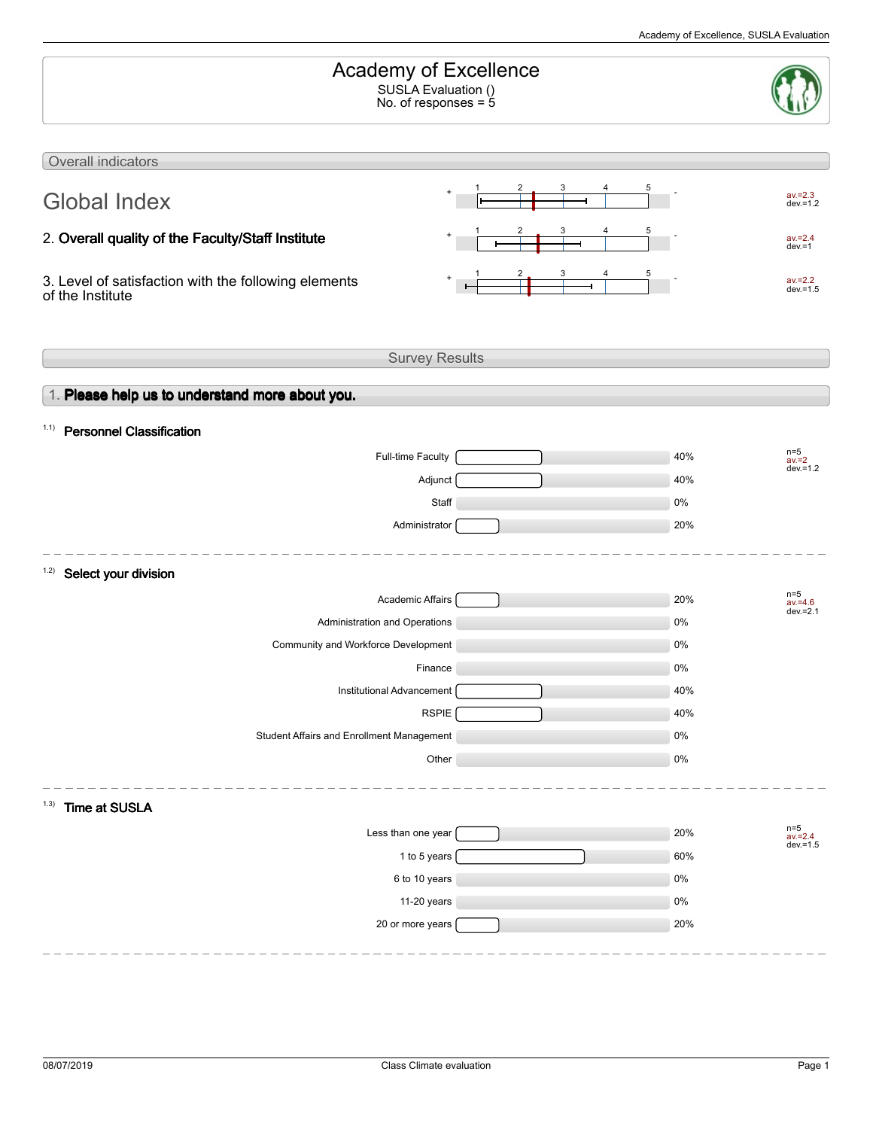| Overall indicators<br>$av = 2.3$<br><b>Global Index</b><br>$dev = 1.2$<br>2. Overall quality of the Faculty/Staff Institute<br>$av = 2.4$<br>$dev = 1$<br>3. Level of satisfaction with the following elements<br>$av = 2.2$<br>dev. $=1.5$<br>of the Institute<br><b>Survey Results</b><br>1. Please help us to understand more about you.<br><b>Personnel Classification</b><br>1.1)<br>$n=5$<br>Full-time Faculty<br>40%<br>$av = 2$<br>$dev = 1.2$<br>Adjunct<br>40%<br>Staff<br>0%<br>20%<br>Administrator<br>1.2)<br>Select your division<br>$n=5$<br>Academic Affairs<br>20%<br>$av = 4.6$<br>$dev.=2.1$<br>Administration and Operations<br>0%<br>Community and Workforce Development<br>0%<br>0%<br>Finance<br>Institutional Advancement<br>40%<br><b>RSPIE</b><br>40%<br>Student Affairs and Enrollment Management<br>$0\%$<br>Other<br>$0\%$<br>(1.3)<br>Time at SUSLA<br>n=5<br>av.=2.4<br>dev.=1.5<br>Less than one year<br>20%<br>1 to 5 years<br>60%<br>6 to 10 years<br>$0\%$<br>11-20 years<br>$0\%$<br>20 or more years<br>20% | Academy of Excellence<br>SUSLA Evaluation ()<br>No. of responses = $5$ |  |  |  |  |  |
|--------------------------------------------------------------------------------------------------------------------------------------------------------------------------------------------------------------------------------------------------------------------------------------------------------------------------------------------------------------------------------------------------------------------------------------------------------------------------------------------------------------------------------------------------------------------------------------------------------------------------------------------------------------------------------------------------------------------------------------------------------------------------------------------------------------------------------------------------------------------------------------------------------------------------------------------------------------------------------------------------------------------------------------------------|------------------------------------------------------------------------|--|--|--|--|--|
|                                                                                                                                                                                                                                                                                                                                                                                                                                                                                                                                                                                                                                                                                                                                                                                                                                                                                                                                                                                                                                                  |                                                                        |  |  |  |  |  |
|                                                                                                                                                                                                                                                                                                                                                                                                                                                                                                                                                                                                                                                                                                                                                                                                                                                                                                                                                                                                                                                  |                                                                        |  |  |  |  |  |
|                                                                                                                                                                                                                                                                                                                                                                                                                                                                                                                                                                                                                                                                                                                                                                                                                                                                                                                                                                                                                                                  |                                                                        |  |  |  |  |  |
|                                                                                                                                                                                                                                                                                                                                                                                                                                                                                                                                                                                                                                                                                                                                                                                                                                                                                                                                                                                                                                                  |                                                                        |  |  |  |  |  |
|                                                                                                                                                                                                                                                                                                                                                                                                                                                                                                                                                                                                                                                                                                                                                                                                                                                                                                                                                                                                                                                  |                                                                        |  |  |  |  |  |
|                                                                                                                                                                                                                                                                                                                                                                                                                                                                                                                                                                                                                                                                                                                                                                                                                                                                                                                                                                                                                                                  |                                                                        |  |  |  |  |  |
|                                                                                                                                                                                                                                                                                                                                                                                                                                                                                                                                                                                                                                                                                                                                                                                                                                                                                                                                                                                                                                                  |                                                                        |  |  |  |  |  |
|                                                                                                                                                                                                                                                                                                                                                                                                                                                                                                                                                                                                                                                                                                                                                                                                                                                                                                                                                                                                                                                  |                                                                        |  |  |  |  |  |
|                                                                                                                                                                                                                                                                                                                                                                                                                                                                                                                                                                                                                                                                                                                                                                                                                                                                                                                                                                                                                                                  |                                                                        |  |  |  |  |  |
|                                                                                                                                                                                                                                                                                                                                                                                                                                                                                                                                                                                                                                                                                                                                                                                                                                                                                                                                                                                                                                                  |                                                                        |  |  |  |  |  |
|                                                                                                                                                                                                                                                                                                                                                                                                                                                                                                                                                                                                                                                                                                                                                                                                                                                                                                                                                                                                                                                  |                                                                        |  |  |  |  |  |
|                                                                                                                                                                                                                                                                                                                                                                                                                                                                                                                                                                                                                                                                                                                                                                                                                                                                                                                                                                                                                                                  |                                                                        |  |  |  |  |  |
|                                                                                                                                                                                                                                                                                                                                                                                                                                                                                                                                                                                                                                                                                                                                                                                                                                                                                                                                                                                                                                                  |                                                                        |  |  |  |  |  |
|                                                                                                                                                                                                                                                                                                                                                                                                                                                                                                                                                                                                                                                                                                                                                                                                                                                                                                                                                                                                                                                  |                                                                        |  |  |  |  |  |
|                                                                                                                                                                                                                                                                                                                                                                                                                                                                                                                                                                                                                                                                                                                                                                                                                                                                                                                                                                                                                                                  |                                                                        |  |  |  |  |  |
|                                                                                                                                                                                                                                                                                                                                                                                                                                                                                                                                                                                                                                                                                                                                                                                                                                                                                                                                                                                                                                                  |                                                                        |  |  |  |  |  |
|                                                                                                                                                                                                                                                                                                                                                                                                                                                                                                                                                                                                                                                                                                                                                                                                                                                                                                                                                                                                                                                  |                                                                        |  |  |  |  |  |
|                                                                                                                                                                                                                                                                                                                                                                                                                                                                                                                                                                                                                                                                                                                                                                                                                                                                                                                                                                                                                                                  |                                                                        |  |  |  |  |  |
|                                                                                                                                                                                                                                                                                                                                                                                                                                                                                                                                                                                                                                                                                                                                                                                                                                                                                                                                                                                                                                                  |                                                                        |  |  |  |  |  |
|                                                                                                                                                                                                                                                                                                                                                                                                                                                                                                                                                                                                                                                                                                                                                                                                                                                                                                                                                                                                                                                  |                                                                        |  |  |  |  |  |
|                                                                                                                                                                                                                                                                                                                                                                                                                                                                                                                                                                                                                                                                                                                                                                                                                                                                                                                                                                                                                                                  |                                                                        |  |  |  |  |  |
|                                                                                                                                                                                                                                                                                                                                                                                                                                                                                                                                                                                                                                                                                                                                                                                                                                                                                                                                                                                                                                                  |                                                                        |  |  |  |  |  |
|                                                                                                                                                                                                                                                                                                                                                                                                                                                                                                                                                                                                                                                                                                                                                                                                                                                                                                                                                                                                                                                  |                                                                        |  |  |  |  |  |
|                                                                                                                                                                                                                                                                                                                                                                                                                                                                                                                                                                                                                                                                                                                                                                                                                                                                                                                                                                                                                                                  |                                                                        |  |  |  |  |  |
|                                                                                                                                                                                                                                                                                                                                                                                                                                                                                                                                                                                                                                                                                                                                                                                                                                                                                                                                                                                                                                                  |                                                                        |  |  |  |  |  |
|                                                                                                                                                                                                                                                                                                                                                                                                                                                                                                                                                                                                                                                                                                                                                                                                                                                                                                                                                                                                                                                  |                                                                        |  |  |  |  |  |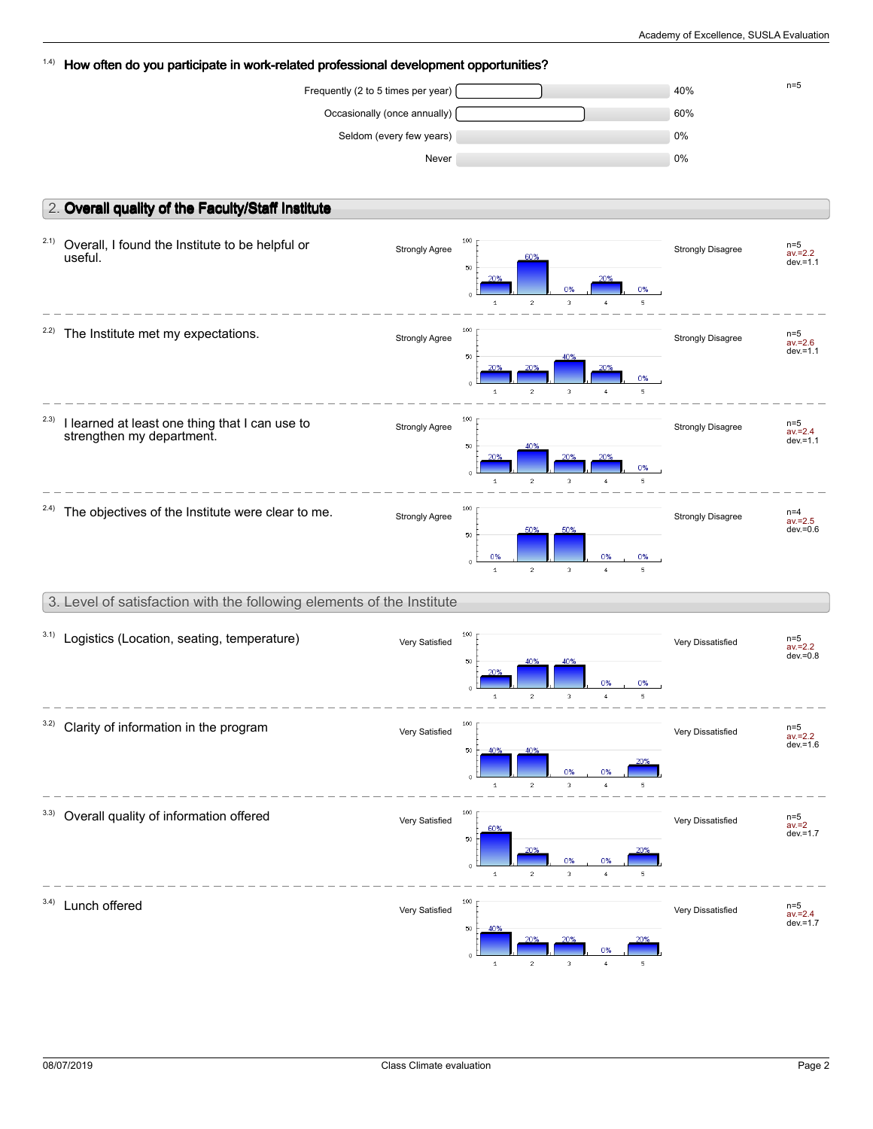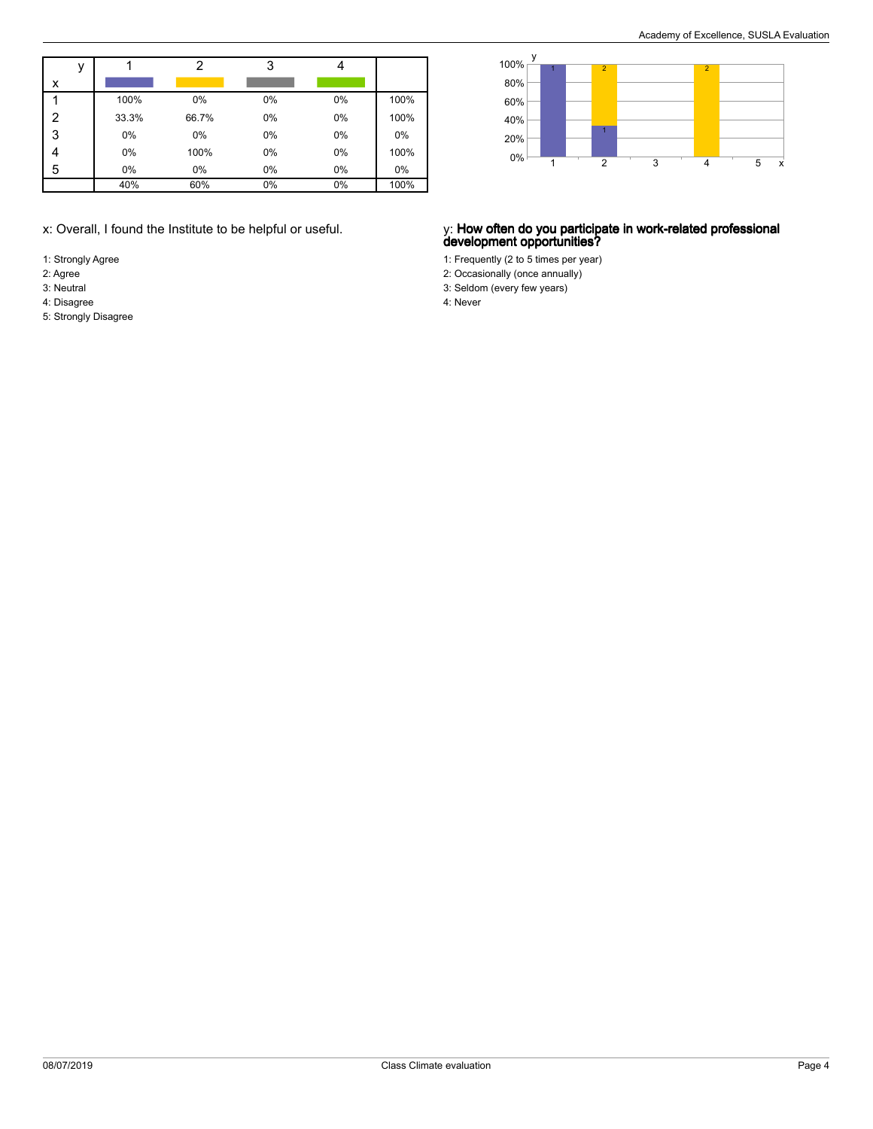|   |       | າ     |    |    |      |
|---|-------|-------|----|----|------|
| x |       |       |    |    |      |
|   | 100%  | 0%    | 0% | 0% | 100% |
| 2 | 33.3% | 66.7% | 0% | 0% | 100% |
| 3 | 0%    | 0%    | 0% | 0% | 0%   |
|   | 0%    | 100%  | 0% | 0% | 100% |
| 5 | 0%    | 0%    | 0% | 0% | 0%   |
|   | 40%   | 60%   | 0% | 0% | 100% |

- 1: Strongly Agree
- 2: Agree
- 3: Neutral
- 4: Disagree
- 5: Strongly Disagree



### x: Overall, I found the Institute to be helpful or useful. y: **How often do you participate in work-related professional development opportunities?**

- 1: Frequently (2 to 5 times per year)
- 2: Occasionally (once annually)
- 3: Seldom (every few years)
- 4: Never